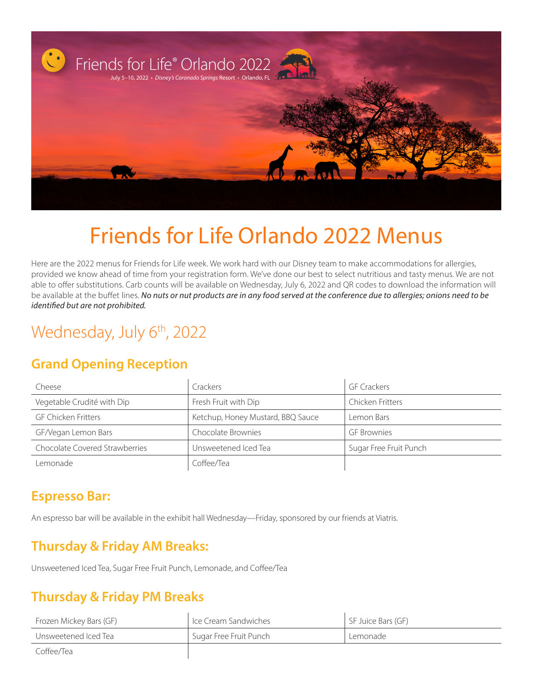

# Friends for Life Orlando 2022 Menus

Here are the 2022 menus for Friends for Life week. We work hard with our Disney team to make accommodations for allergies, provided we know ahead of time from your registration form. We've done our best to select nutritious and tasty menus. We are not able to offer substitutions. Carb counts will be available on Wednesday, July 6, 2022 and QR codes to download the information will be available at the buffet lines. *No nuts or nut products are in any food served at the conference due to allergies; onions need to be identified but are not prohibited.* 

## Wednesday, July 6<sup>th</sup>, 2022

#### **Grand Opening Reception**

| Cheese                                | Crackers                          | <b>GF Crackers</b>     |
|---------------------------------------|-----------------------------------|------------------------|
| Vegetable Crudité with Dip            | Fresh Fruit with Dip              | Chicken Fritters       |
| <b>GF Chicken Fritters</b>            | Ketchup, Honey Mustard, BBQ Sauce | Lemon Bars             |
| GF/Vegan Lemon Bars                   | Chocolate Brownies                | <b>GF</b> Brownies     |
| <b>Chocolate Covered Strawberries</b> | Unsweetened Iced Tea              | Sugar Free Fruit Punch |
| Lemonade                              | Coffee/Tea                        |                        |

#### **Espresso Bar:**

An espresso bar will be available in the exhibit hall Wednesday—Friday, sponsored by our friends at Viatris.

### **Thursday & Friday AM Breaks:**

Unsweetened Iced Tea, Sugar Free Fruit Punch, Lemonade, and Coffee/Tea

### **Thursday & Friday PM Breaks**

| Frozen Mickey Bars (GF) | Ice Cream Sandwiches   | SF Juice Bars (GF) |
|-------------------------|------------------------|--------------------|
| Unsweetened Iced Tea    | Sugar Free Fruit Punch | Lemonade           |
| Coffee/Tea              |                        |                    |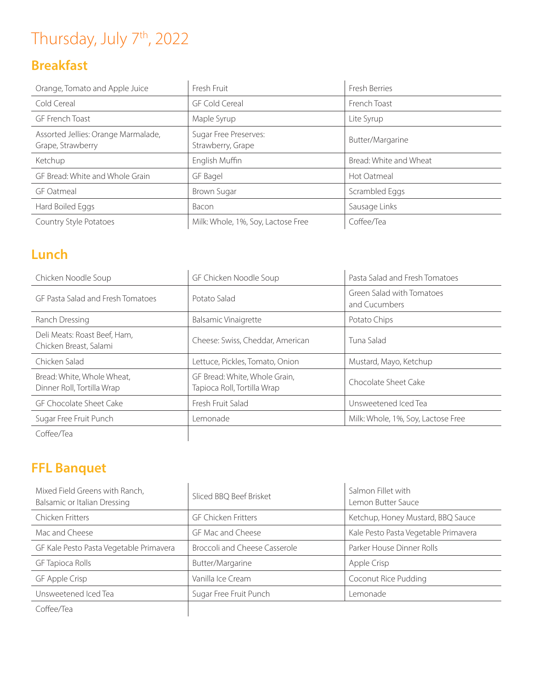## Thursday, July 7<sup>th</sup>, 2022

## **Breakfast**

| Orange, Tomato and Apple Juice                           | Fresh Fruit                                | Fresh Berries          |
|----------------------------------------------------------|--------------------------------------------|------------------------|
| Cold Cereal                                              | <b>GF Cold Cereal</b>                      | French Toast           |
| GF French Toast                                          | Maple Syrup                                | Lite Syrup             |
| Assorted Jellies: Orange Marmalade,<br>Grape, Strawberry | Sugar Free Preserves:<br>Strawberry, Grape | Butter/Margarine       |
| Ketchup                                                  | English Muffin                             | Bread: White and Wheat |
| GF Bread: White and Whole Grain                          | GF Bagel                                   | Hot Oatmeal            |
| <b>GF Oatmeal</b>                                        | Brown Sugar                                | Scrambled Eggs         |
| Hard Boiled Eggs                                         | Bacon                                      | Sausage Links          |
| Country Style Potatoes                                   | Milk: Whole, 1%, Soy, Lactose Free         | Coffee/Tea             |

### **Lunch**

| Chicken Noodle Soup                                      | GF Chicken Noodle Soup                                       | Pasta Salad and Fresh Tomatoes             |
|----------------------------------------------------------|--------------------------------------------------------------|--------------------------------------------|
| GE Pasta Salad and Fresh Tomatoes                        | Potato Salad                                                 | Green Salad with Tomatoes<br>and Cucumbers |
| Ranch Dressing                                           | Balsamic Vinaigrette                                         | Potato Chips                               |
| Deli Meats: Roast Beef, Ham,<br>Chicken Breast, Salami   | Cheese: Swiss, Cheddar, American                             | Tuna Salad                                 |
| Chicken Salad                                            | Lettuce, Pickles, Tomato, Onion                              | Mustard, Mayo, Ketchup                     |
| Bread: White, Whole Wheat,<br>Dinner Roll, Tortilla Wrap | GF Bread: White, Whole Grain,<br>Tapioca Roll, Tortilla Wrap | Chocolate Sheet Cake                       |
| GF Chocolate Sheet Cake                                  | Fresh Fruit Salad                                            | Unsweetened Iced Tea                       |
| Sugar Free Fruit Punch                                   | Lemonade                                                     | Milk: Whole, 1%, Soy, Lactose Free         |
| Coffee/Tea                                               |                                                              |                                            |

## **FFL Banquet**

| Mixed Field Greens with Ranch,<br>Balsamic or Italian Dressing | Sliced BBQ Beef Brisket       | Salmon Fillet with<br>Lemon Butter Sauce |
|----------------------------------------------------------------|-------------------------------|------------------------------------------|
| Chicken Fritters                                               | <b>GF Chicken Fritters</b>    | Ketchup, Honey Mustard, BBQ Sauce        |
| Mac and Cheese                                                 | GF Mac and Cheese             | Kale Pesto Pasta Vegetable Primavera     |
| GF Kale Pesto Pasta Vegetable Primavera                        | Broccoli and Cheese Casserole | Parker House Dinner Rolls                |
| <b>GF Tapioca Rolls</b>                                        | Butter/Margarine              | Apple Crisp                              |
| GF Apple Crisp                                                 | Vanilla Ice Cream             | Coconut Rice Pudding                     |
| Unsweetened Iced Tea                                           | Sugar Free Fruit Punch        | Lemonade                                 |
| Coffee/Tea                                                     |                               |                                          |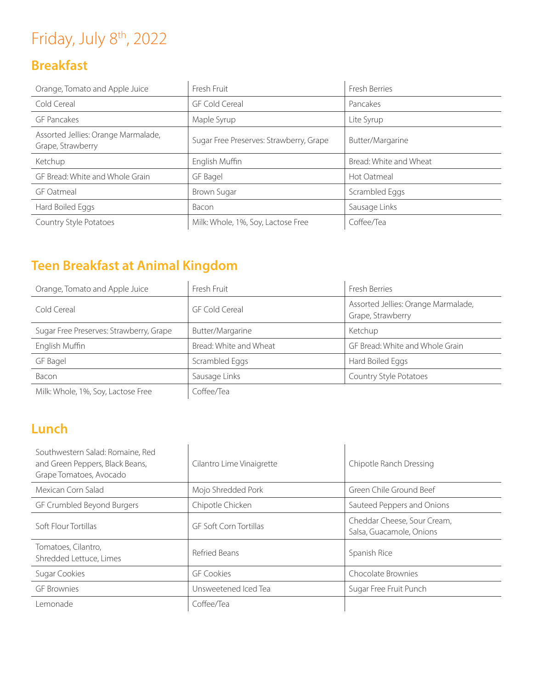## Friday, July 8<sup>th</sup>, 2022

## **Breakfast**

| Orange, Tomato and Apple Juice                           | Fresh Fruit                             | Fresh Berries          |
|----------------------------------------------------------|-----------------------------------------|------------------------|
| Cold Cereal                                              | <b>GF Cold Cereal</b>                   | Pancakes               |
| <b>GF Pancakes</b>                                       | Maple Syrup                             | Lite Syrup             |
| Assorted Jellies: Orange Marmalade,<br>Grape, Strawberry | Sugar Free Preserves: Strawberry, Grape | Butter/Margarine       |
| Ketchup                                                  | English Muffin                          | Bread: White and Wheat |
| GF Bread: White and Whole Grain                          | GF Bagel                                | Hot Oatmeal            |
| <b>GF</b> Oatmeal                                        | Brown Sugar                             | Scrambled Eggs         |
| Hard Boiled Eggs                                         | Bacon                                   | Sausage Links          |
| Country Style Potatoes                                   | Milk: Whole, 1%, Soy, Lactose Free      | Coffee/Tea             |

## **Teen Breakfast at Animal Kingdom**

| Orange, Tomato and Apple Juice          | Fresh Fruit            | Fresh Berries                                            |
|-----------------------------------------|------------------------|----------------------------------------------------------|
| Cold Cereal                             | GF Cold Cereal         | Assorted Jellies: Orange Marmalade,<br>Grape, Strawberry |
| Sugar Free Preserves: Strawberry, Grape | Butter/Margarine       | Ketchup                                                  |
| English Muffin                          | Bread: White and Wheat | GF Bread: White and Whole Grain                          |
| GF Bagel                                | Scrambled Eggs         | Hard Boiled Eggs                                         |
| Bacon                                   | Sausage Links          | Country Style Potatoes                                   |
| Mille Whole 104 Cove Lactore Front      | $C0ff00/T02$           |                                                          |

Milk: Whole, 1%, Soy, Lactose Free  $\left\vert \right.$  Coffee/Tea

## **Lunch**

| Southwestern Salad: Romaine, Red<br>and Green Peppers, Black Beans,<br>Grape Tomatoes, Avocado | Cilantro Lime Vinaigrette     | Chipotle Ranch Dressing                                 |
|------------------------------------------------------------------------------------------------|-------------------------------|---------------------------------------------------------|
| Mexican Corn Salad                                                                             | Mojo Shredded Pork            | Green Chile Ground Beef                                 |
| GF Crumbled Beyond Burgers                                                                     | Chipotle Chicken              | Sauteed Peppers and Onions                              |
| Soft Flour Tortillas                                                                           | <b>GF Soft Corn Tortillas</b> | Cheddar Cheese, Sour Cream,<br>Salsa, Guacamole, Onions |
| Tomatoes, Cilantro,<br>Shredded Lettuce, Limes                                                 | Refried Beans                 | Spanish Rice                                            |
| Sugar Cookies                                                                                  | <b>GF Cookies</b>             | Chocolate Brownies                                      |
| <b>GF</b> Brownies                                                                             | Unsweetened Iced Tea          | Sugar Free Fruit Punch                                  |
| Lemonade                                                                                       | Coffee/Tea                    |                                                         |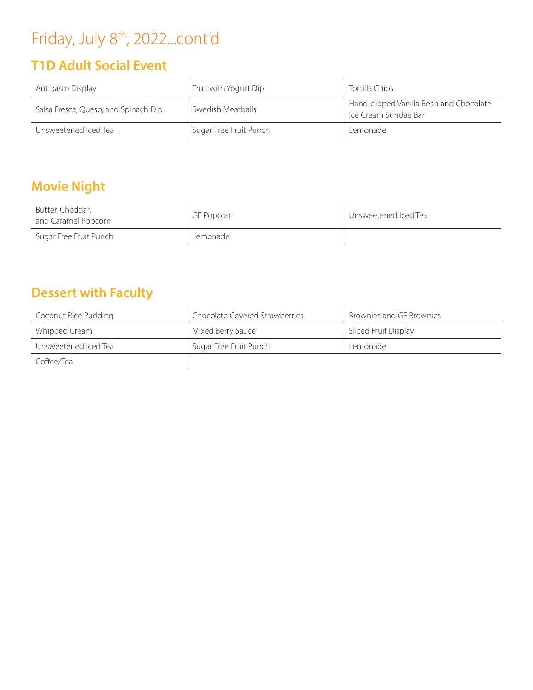## Friday, July 8<sup>th</sup>, 2022...cont'd

## **T1D Adult Social Event**

| Antipasto Display                    | Fruit with Yogurt Dip  | Tortilla Chips                                                              |
|--------------------------------------|------------------------|-----------------------------------------------------------------------------|
| Salsa Fresca, Queso, and Spinach Dip | Swedish Meatballs      | Hand-dipped Vanilla Bean and Chocolate<br><sup>1</sup> Ice Cream Sundae Bar |
| Unsweetened Iced Tea                 | Sugar Free Fruit Punch | Lemonade                                                                    |

### **Movie Night**

| Butter, Cheddar,<br>and Caramel Popcorn | GF Popcorn | Unsweetened Iced Tea |
|-----------------------------------------|------------|----------------------|
| Sugar Free Fruit Punch                  | Lemonade   |                      |

### **Dessert with Faculty**

| Coconut Rice Pudding | Chocolate Covered Strawberries | Brownies and GF Brownies |
|----------------------|--------------------------------|--------------------------|
| Whipped Cream        | Mixed Berry Sauce              | Sliced Fruit Display     |
| Unsweetened Iced Tea | Sugar Free Fruit Punch         | Lemonade                 |
| Coffee/Tea           |                                |                          |